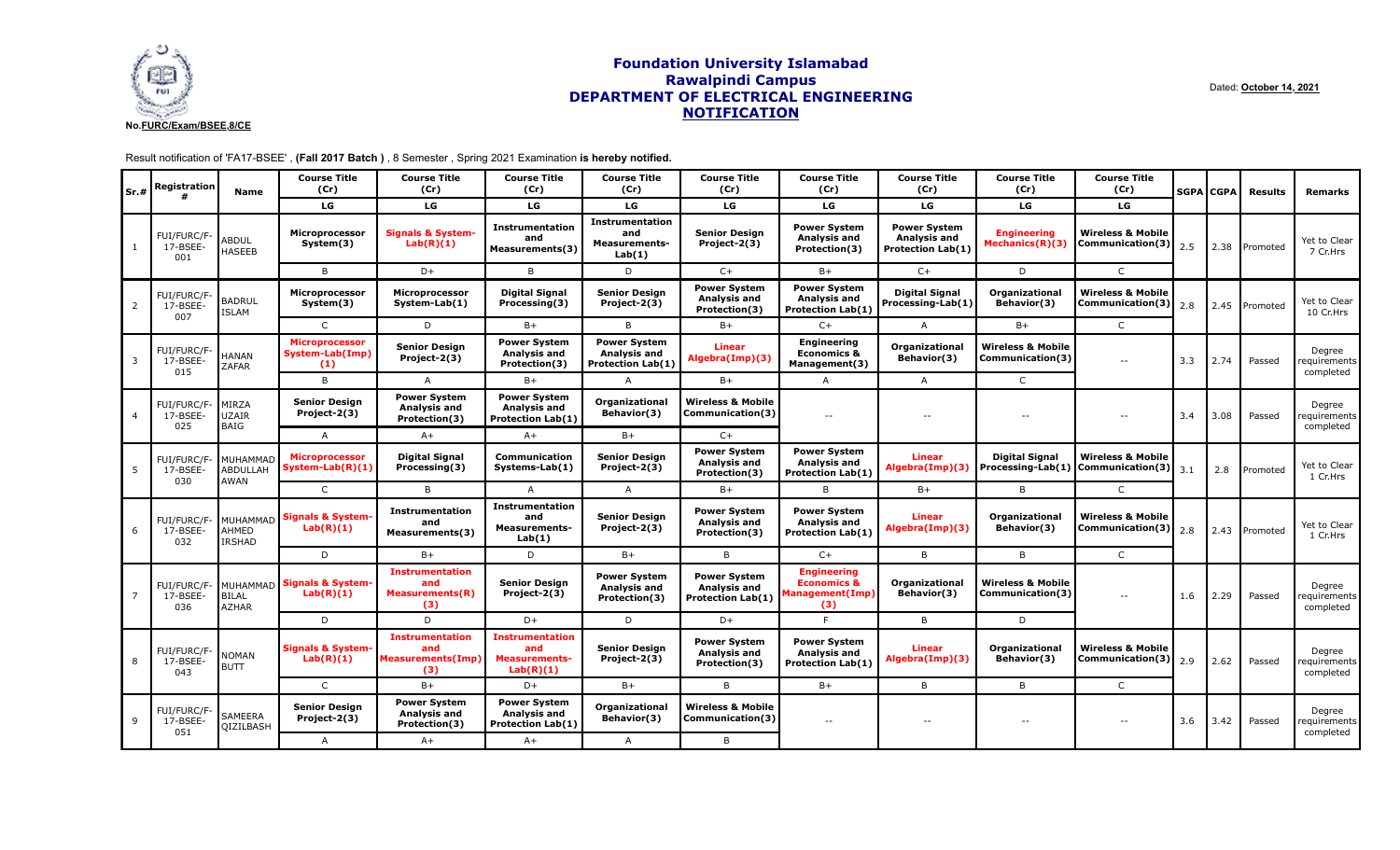

# **Foundation University Islamabad Rawalpindi Campus DEPARTMENT OF ELECTRICAL ENGINEERING NOTIFICATION**

Dated: **October 14, 2021**

# Result notification of 'FA17-BSEE' , **(Fall 2017 Batch )** , 8 Semester , Spring 2021 Examination **is hereby notified.**

| Sr.#           | Registration                         | Name                                             | <b>Course Title</b><br>(Cr)                     | <b>Course Title</b><br>(Cr)                                      | <b>Course Title</b><br>(Cr)                                            | <b>Course Title</b><br>(Cr)                                     | <b>Course Title</b><br>(Cr)                                     | <b>Course Title</b><br>(Cr)                                                   | <b>Course Title</b><br>(Cr)                              | <b>Course Title</b><br>(Cr)                      | <b>Course Title</b><br>(Cr)                                                  |     | <b>SGPA CGPA</b> | <b>Results</b> | Remarks                               |
|----------------|--------------------------------------|--------------------------------------------------|-------------------------------------------------|------------------------------------------------------------------|------------------------------------------------------------------------|-----------------------------------------------------------------|-----------------------------------------------------------------|-------------------------------------------------------------------------------|----------------------------------------------------------|--------------------------------------------------|------------------------------------------------------------------------------|-----|------------------|----------------|---------------------------------------|
|                |                                      |                                                  | LG                                              | LG                                                               | LG                                                                     | LG                                                              | LG                                                              | LG                                                                            | LG                                                       | LG                                               | LG                                                                           |     |                  |                |                                       |
|                | FUI/FURC/F<br>17-BSEE-<br>001        | ABDUL<br>HASEEB                                  | Microprocessor<br>System(3)                     | <b>Signals &amp; System</b><br>Lab(R)(1)                         | Instrumentation<br>and<br>Measurements(3)                              | <b>Instrumentation</b><br>and<br><b>Measurements-</b><br>Lab(1) | <b>Senior Design</b><br>Project-2(3)                            | <b>Power System</b><br>Analysis and<br>Protection(3)                          | <b>Power System</b><br>Analysis and<br>Protection Lab(1) | <b>Engineering</b><br>Mechanics(R)(3)            | <b>Wireless &amp; Mobile</b><br><b>Communication(3)</b> $\left[ 2.5 \right]$ |     | 2.38             | Promoted       | Yet to Clear<br>7 Cr.Hrs              |
|                |                                      |                                                  | B                                               | $D+$                                                             | B                                                                      | D                                                               | $C+$                                                            | $B+$                                                                          | $C+$                                                     | D                                                | $\mathsf{C}$                                                                 |     |                  |                |                                       |
| 2              | <b>FUI/FURC/F</b><br>17-BSEE-<br>007 | <b>BADRUL</b><br><b>ISLAM</b>                    | Microprocessor<br>System(3)                     | <b>Microprocessor</b><br>System-Lab(1)                           | <b>Digital Signal</b><br>Processing(3)                                 | <b>Senior Design</b><br>Project-2(3)                            | <b>Power System</b><br>Analysis and<br>Protection(3)            | <b>Power System</b><br>Analysis and<br><b>Protection Lab(1)</b>               | <b>Digital Signal</b><br>Processing-Lab(1)               | <b>Organizational</b><br>Behavior(3)             | <b>Wireless &amp; Mobile</b><br>Communication(3)                             | 2.8 | 2.45             | Promoted       | Yet to Clear<br>10 Cr.Hrs             |
|                |                                      |                                                  | $\mathsf{C}$                                    | D                                                                | $B+$                                                                   | B                                                               | $B+$                                                            | $C+$                                                                          | $\overline{A}$                                           | $B+$                                             | $\mathsf{C}$                                                                 |     |                  |                |                                       |
| $\overline{3}$ | FUI/FURC/F<br>17-BSEE-<br>015        | <b>HANAN</b><br><b>ZAFAR</b>                     | <b>Microprocessor</b><br>System-Lab(Imp)<br>(1) | <b>Senior Design</b><br>Project-2(3)                             | <b>Power System</b><br><b>Analysis and</b><br>Protection(3)            | <b>Power System</b><br>Analysis and<br><b>Protection Lab(1)</b> | <b>Linear</b><br>Algebra(Imp)(3)                                | <b>Engineering</b><br><b>Economics &amp;</b><br>Management(3)                 | <b>Organizational</b><br>Behavior(3)                     | <b>Wireless &amp; Mobile</b><br>Communication(3) | $\overline{\phantom{a}}$                                                     | 3.3 | 2.74             | Passed         | Degree<br>requirements  <br>completed |
|                |                                      |                                                  | B                                               | A                                                                | B+                                                                     | $\overline{A}$                                                  | $B+$                                                            | A                                                                             | $\overline{A}$                                           | $\mathsf{C}$                                     |                                                                              |     |                  |                |                                       |
| $\overline{4}$ | FUI/FURC/F-<br>17-BSEE-<br>025       | MIRZA<br>UZAIR<br>BAIG                           | <b>Senior Design</b><br>Project-2(3)            | <b>Power System</b><br><b>Analysis and</b><br>Protection(3)      | <b>Power System</b><br>Analysis and<br><b>Protection Lab(1)</b>        | <b>Organizational</b><br>Behavior(3)                            | <b>Wireless &amp; Mobile</b><br> Communication(3)               | $\sim$ $\sim$                                                                 | $\sim$ $\sim$                                            | $-$                                              | $\mathord{\hspace{1pt}\text{--}\hspace{1pt}}$                                | 3.4 | 3.08             | Passed         | Degree<br>equirements  <br>completed  |
|                |                                      |                                                  | A                                               | $A+$                                                             | $A+$                                                                   | $B+$                                                            | $C+$                                                            |                                                                               |                                                          |                                                  |                                                                              |     |                  |                |                                       |
| -5             | FUI/FURC/F-<br>17-BSEE-<br>030       | MUHAMMAD<br><b>ABDULLAH</b><br>AWAN              | <b>Microprocessor</b><br>System-Lab(R)(1)       | <b>Digital Signal</b><br>Processing(3)                           | <b>Communication</b><br>Systems-Lab(1)                                 | <b>Senior Design</b><br>Project-2(3)                            | <b>Power System</b><br>Analysis and<br>Protection(3)            | <b>Power System</b><br>Analysis and<br><b>Protection Lab(1)</b>               | <b>Linear</b><br>Algebra(Imp)(3)                         | <b>Digital Signal</b><br>Processing-Lab(1)       | <b>Wireless &amp; Mobile</b><br>Communication(3)                             | 3.1 | 2.8              | Promoted       | Yet to Clear<br>1 Cr.Hrs              |
|                |                                      |                                                  | $\mathsf{C}$                                    | B                                                                | A                                                                      | $\mathsf{A}$                                                    | $B+$                                                            | B                                                                             | $B+$                                                     | B                                                | $\mathsf{C}$                                                                 |     |                  |                |                                       |
| 6              | FUI/FURC/F-<br>17-BSEE-<br>032       | AHMED<br><b>IRSHAD</b>                           | MUHAMMAD Signals & System-<br>Lab(R)(1)         | <b>Instrumentation</b><br>and<br>Measurements(3)                 | Instrumentation<br>and<br><b>Measurements-</b><br>Lab(1)               | <b>Senior Design</b><br>Project-2(3)                            | <b>Power System</b><br>Analysis and<br>Protection(3)            | <b>Power System</b><br><b>Analysis and</b><br><b>Protection Lab(1)</b>        | Linear<br>Algebra(Imp)(3)                                | <b>Organizational</b><br>Behavior(3)             | <b>Wireless &amp; Mobile</b><br>Communication(3) $\Big  2.8 \Big $           |     | 2.43             | Promoted       | Yet to Clear<br>1 Cr.Hrs              |
|                |                                      |                                                  | D                                               | $B+$                                                             | D                                                                      | $B+$                                                            | B                                                               | $C+$                                                                          | B                                                        | B                                                | $\mathsf{C}$                                                                 |     |                  |                |                                       |
|                | FUI/FURC/F-<br>17-BSEE-<br>036       | <b>IMUHAMMAD</b><br><b>BILAL</b><br><b>AZHAR</b> | <b>Signals &amp; System-</b><br>Lab(R)(1)       | <b>Instrumentation</b><br>and<br><b>Measurements(R)</b><br>(3)   | <b>Senior Design</b><br>Project-2(3)                                   | <b>Power System</b><br>Analysis and<br>Protection(3)            | <b>Power System</b><br>Analysis and<br><b>Protection Lab(1)</b> | <b>Engineering</b><br><b>Economics &amp;</b><br><b>Management(Imp)</b><br>(3) | <b>Organizational</b><br>Behavior(3)                     | <b>Wireless &amp; Mobile</b><br>Communication(3) | $ -$                                                                         | 1.6 | 2.29             | Passed         | Degree<br>'equirements  <br>completed |
|                |                                      |                                                  | D                                               | D                                                                | $D+$                                                                   | D                                                               | $D+$                                                            | F                                                                             | B                                                        | D                                                |                                                                              |     |                  |                |                                       |
| 8              | <b>FUI/FURC/F</b><br>17-BSEE-<br>043 | <b>NOMAN</b><br><b>BUTT</b>                      | <b>Signals &amp; System-</b><br>Lab(R)(1)       | <b>Instrumentation</b><br>and<br><b>Measurements(Imp)</b><br>(3) | <b>Instrumentation</b><br>and<br><b>Measurements-</b><br>Lab(R)(1)     | <b>Senior Design</b><br>Project-2(3)                            | <b>Power System</b><br>Analysis and<br>Protection(3)            | <b>Power System</b><br><b>Analysis and</b><br><b>Protection Lab(1)</b>        | <b>Linear</b><br>Algebra(Imp)(3)                         | <b>Organizational</b><br>Behavior(3)             | <b>Wireless &amp; Mobile</b><br>Communication(3) $\Big  2.9 \Big $           |     | 2.62             | Passed         | Degree<br>equirements<br>completed    |
|                |                                      |                                                  | $\mathsf{C}$                                    | $B+$                                                             | $D+$                                                                   | $B+$                                                            | B                                                               | $B+$                                                                          | B                                                        | B                                                | $\mathsf{C}$                                                                 |     |                  |                |                                       |
| $\mathsf{q}$   | FUI/FURC/F<br>17-BSEE-<br>051        | SAMEERA<br>QIZILBASH                             | <b>Senior Design</b><br>Project-2(3)            | <b>Power System</b><br><b>Analysis and</b><br>Protection(3)      | <b>Power System</b><br><b>Analysis and</b><br><b>Protection Lab(1)</b> | Organizational<br>Behavior(3)                                   | <b>Wireless &amp; Mobile</b><br>Communication(3)                | $\sim$ $\sim$                                                                 | $\sim$ $\sim$                                            | $-$                                              | $-$                                                                          | 3.6 | 3.42             | Passed         | Degree<br>equirements  <br>completed  |
|                |                                      |                                                  | $\overline{A}$                                  | $A+$                                                             | $A+$                                                                   | $\overline{A}$                                                  | B                                                               |                                                                               |                                                          |                                                  |                                                                              |     |                  |                |                                       |